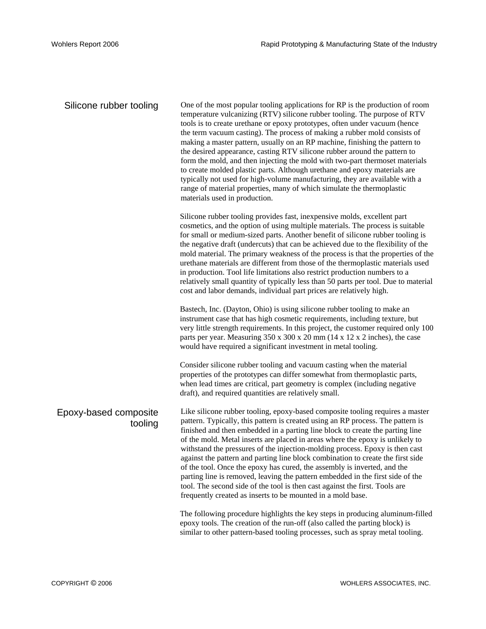| Silicone rubber tooling          | One of the most popular tooling applications for RP is the production of room<br>temperature vulcanizing (RTV) silicone rubber tooling. The purpose of RTV<br>tools is to create urethane or epoxy prototypes, often under vacuum (hence<br>the term vacuum casting). The process of making a rubber mold consists of<br>making a master pattern, usually on an RP machine, finishing the pattern to<br>the desired appearance, casting RTV silicone rubber around the pattern to<br>form the mold, and then injecting the mold with two-part thermoset materials<br>to create molded plastic parts. Although urethane and epoxy materials are<br>typically not used for high-volume manufacturing, they are available with a<br>range of material properties, many of which simulate the thermoplastic<br>materials used in production. |
|----------------------------------|------------------------------------------------------------------------------------------------------------------------------------------------------------------------------------------------------------------------------------------------------------------------------------------------------------------------------------------------------------------------------------------------------------------------------------------------------------------------------------------------------------------------------------------------------------------------------------------------------------------------------------------------------------------------------------------------------------------------------------------------------------------------------------------------------------------------------------------|
|                                  | Silicone rubber tooling provides fast, inexpensive molds, excellent part<br>cosmetics, and the option of using multiple materials. The process is suitable<br>for small or medium-sized parts. Another benefit of silicone rubber tooling is<br>the negative draft (undercuts) that can be achieved due to the flexibility of the<br>mold material. The primary weakness of the process is that the properties of the<br>urethane materials are different from those of the thermoplastic materials used<br>in production. Tool life limitations also restrict production numbers to a<br>relatively small quantity of typically less than 50 parts per tool. Due to material<br>cost and labor demands, individual part prices are relatively high.                                                                                     |
|                                  | Bastech, Inc. (Dayton, Ohio) is using silicone rubber tooling to make an<br>instrument case that has high cosmetic requirements, including texture, but<br>very little strength requirements. In this project, the customer required only 100<br>parts per year. Measuring 350 x 300 x 20 mm (14 x 12 x 2 inches), the case<br>would have required a significant investment in metal tooling.                                                                                                                                                                                                                                                                                                                                                                                                                                            |
|                                  | Consider silicone rubber tooling and vacuum casting when the material<br>properties of the prototypes can differ somewhat from thermoplastic parts,<br>when lead times are critical, part geometry is complex (including negative<br>draft), and required quantities are relatively small.                                                                                                                                                                                                                                                                                                                                                                                                                                                                                                                                               |
| Epoxy-based composite<br>tooling | Like silicone rubber tooling, epoxy-based composite tooling requires a master<br>pattern. Typically, this pattern is created using an RP process. The pattern is<br>finished and then embedded in a parting line block to create the parting line<br>of the mold. Metal inserts are placed in areas where the epoxy is unlikely to<br>withstand the pressures of the injection-molding process. Epoxy is then cast<br>against the pattern and parting line block combination to create the first side<br>of the tool. Once the epoxy has cured, the assembly is inverted, and the<br>parting line is removed, leaving the pattern embedded in the first side of the<br>tool. The second side of the tool is then cast against the first. Tools are<br>frequently created as inserts to be mounted in a mold base.                        |
|                                  | The following procedure highlights the key steps in producing aluminum-filled<br>epoxy tools. The creation of the run-off (also called the parting block) is<br>similar to other pattern-based tooling processes, such as spray metal tooling.                                                                                                                                                                                                                                                                                                                                                                                                                                                                                                                                                                                           |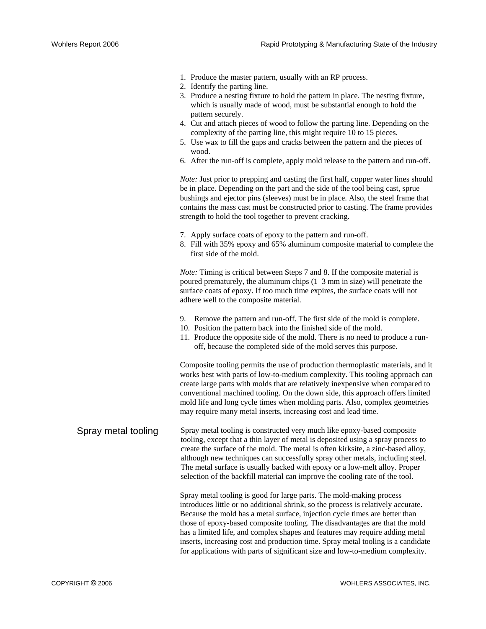- 1. Produce the master pattern, usually with an RP process.
- 2. Identify the parting line.
- 3. Produce a nesting fixture to hold the pattern in place. The nesting fixture, which is usually made of wood, must be substantial enough to hold the pattern securely.
- 4. Cut and attach pieces of wood to follow the parting line. Depending on the complexity of the parting line, this might require 10 to 15 pieces.
- 5. Use wax to fill the gaps and cracks between the pattern and the pieces of wood.
- 6. After the run-off is complete, apply mold release to the pattern and run-off.

*Note:* Just prior to prepping and casting the first half, copper water lines should be in place. Depending on the part and the side of the tool being cast, sprue bushings and ejector pins (sleeves) must be in place. Also, the steel frame that contains the mass cast must be constructed prior to casting. The frame provides strength to hold the tool together to prevent cracking.

- 7. Apply surface coats of epoxy to the pattern and run-off.
- 8. Fill with 35% epoxy and 65% aluminum composite material to complete the first side of the mold.

*Note:* Timing is critical between Steps 7 and 8. If the composite material is poured prematurely, the aluminum chips (1–3 mm in size) will penetrate the surface coats of epoxy. If too much time expires, the surface coats will not adhere well to the composite material.

- 9. Remove the pattern and run-off. The first side of the mold is complete.
- 10. Position the pattern back into the finished side of the mold.
- 11. Produce the opposite side of the mold. There is no need to produce a runoff, because the completed side of the mold serves this purpose.

Composite tooling permits the use of production thermoplastic materials, and it works best with parts of low-to-medium complexity. This tooling approach can create large parts with molds that are relatively inexpensive when compared to conventional machined tooling. On the down side, this approach offers limited mold life and long cycle times when molding parts. Also, complex geometries may require many metal inserts, increasing cost and lead time.

Spray metal tooling Spray metal tooling is constructed very much like epoxy-based composite tooling, except that a thin layer of metal is deposited using a spray process to create the surface of the mold. The metal is often kirksite, a zinc-based alloy, although new techniques can successfully spray other metals, including steel. The metal surface is usually backed with epoxy or a low-melt alloy. Proper selection of the backfill material can improve the cooling rate of the tool.

> Spray metal tooling is good for large parts. The mold-making process introduces little or no additional shrink, so the process is relatively accurate. Because the mold has a metal surface, injection cycle times are better than those of epoxy-based composite tooling. The disadvantages are that the mold has a limited life, and complex shapes and features may require adding metal inserts, increasing cost and production time. Spray metal tooling is a candidate for applications with parts of significant size and low-to-medium complexity.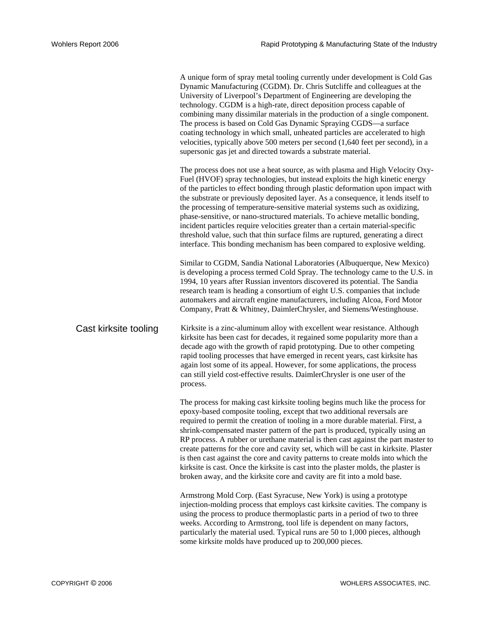A unique form of spray metal tooling currently under development is Cold Gas Dynamic Manufacturing (CGDM). Dr. Chris Sutcliffe and colleagues at the University of Liverpool's Department of Engineering are developing the technology. CGDM is a high-rate, direct deposition process capable of combining many dissimilar materials in the production of a single component. The process is based on Cold Gas Dynamic Spraying CGDS—a surface coating technology in which small, unheated particles are accelerated to high velocities, typically above 500 meters per second (1,640 feet per second), in a supersonic gas jet and directed towards a substrate material.

The process does not use a heat source, as with plasma and High Velocity Oxy-Fuel (HVOF) spray technologies, but instead exploits the high kinetic energy of the particles to effect bonding through plastic deformation upon impact with the substrate or previously deposited layer. As a consequence, it lends itself to the processing of temperature-sensitive material systems such as oxidizing, phase-sensitive, or nano-structured materials. To achieve metallic bonding, incident particles require velocities greater than a certain material-specific threshold value, such that thin surface films are ruptured, generating a direct interface. This bonding mechanism has been compared to explosive welding.

Similar to CGDM, Sandia National Laboratories (Albuquerque, New Mexico) is developing a process termed Cold Spray. The technology came to the U.S. in 1994, 10 years after Russian inventors discovered its potential. The Sandia research team is heading a consortium of eight U.S. companies that include automakers and aircraft engine manufacturers, including Alcoa, Ford Motor Company, Pratt & Whitney, DaimlerChrysler, and Siemens/Westinghouse.

Cast kirksite tooling Kirksite is a zinc-aluminum alloy with excellent wear resistance. Although kirksite has been cast for decades, it regained some popularity more than a decade ago with the growth of rapid prototyping. Due to other competing rapid tooling processes that have emerged in recent years, cast kirksite has again lost some of its appeal. However, for some applications, the process can still yield cost-effective results. DaimlerChrysler is one user of the process.

> The process for making cast kirksite tooling begins much like the process for epoxy-based composite tooling, except that two additional reversals are required to permit the creation of tooling in a more durable material. First, a shrink-compensated master pattern of the part is produced, typically using an RP process. A rubber or urethane material is then cast against the part master to create patterns for the core and cavity set, which will be cast in kirksite. Plaster is then cast against the core and cavity patterns to create molds into which the kirksite is cast. Once the kirksite is cast into the plaster molds, the plaster is broken away, and the kirksite core and cavity are fit into a mold base.

Armstrong Mold Corp. (East Syracuse, New York) is using a prototype injection-molding process that employs cast kirksite cavities. The company is using the process to produce thermoplastic parts in a period of two to three weeks. According to Armstrong, tool life is dependent on many factors, particularly the material used. Typical runs are 50 to 1,000 pieces, although some kirksite molds have produced up to 200,000 pieces.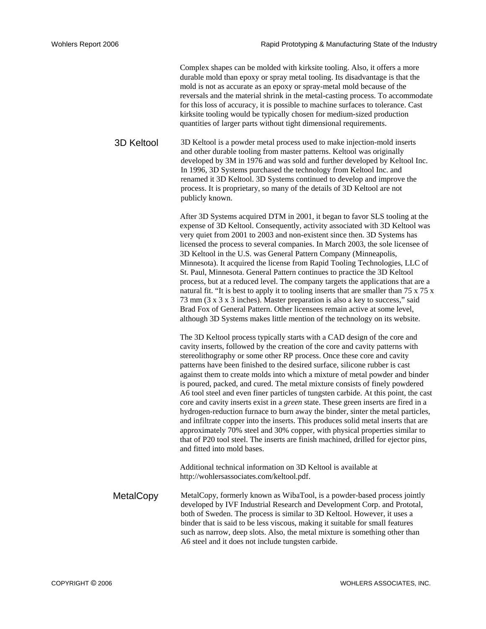Complex shapes can be molded with kirksite tooling. Also, it offers a more durable mold than epoxy or spray metal tooling. Its disadvantage is that the mold is not as accurate as an epoxy or spray-metal mold because of the reversals and the material shrink in the metal-casting process. To accommodate for this loss of accuracy, it is possible to machine surfaces to tolerance. Cast kirksite tooling would be typically chosen for medium-sized production quantities of larger parts without tight dimensional requirements.

3D Keltool 3D Keltool is a powder metal process used to make injection-mold inserts and other durable tooling from master patterns. Keltool was originally developed by 3M in 1976 and was sold and further developed by Keltool Inc. In 1996, 3D Systems purchased the technology from Keltool Inc. and renamed it 3D Keltool. 3D Systems continued to develop and improve the process. It is proprietary, so many of the details of 3D Keltool are not publicly known.

> After 3D Systems acquired DTM in 2001, it began to favor SLS tooling at the expense of 3D Keltool. Consequently, activity associated with 3D Keltool was very quiet from 2001 to 2003 and non-existent since then. 3D Systems has licensed the process to several companies. In March 2003, the sole licensee of 3D Keltool in the U.S. was General Pattern Company (Minneapolis, Minnesota). It acquired the license from Rapid Tooling Technologies, LLC of St. Paul, Minnesota. General Pattern continues to practice the 3D Keltool process, but at a reduced level. The company targets the applications that are a natural fit. "It is best to apply it to tooling inserts that are smaller than 75 x 75 x 73 mm (3 x 3 x 3 inches). Master preparation is also a key to success," said Brad Fox of General Pattern. Other licensees remain active at some level, although 3D Systems makes little mention of the technology on its website.

> The 3D Keltool process typically starts with a CAD design of the core and cavity inserts, followed by the creation of the core and cavity patterns with stereolithography or some other RP process. Once these core and cavity patterns have been finished to the desired surface, silicone rubber is cast against them to create molds into which a mixture of metal powder and binder is poured, packed, and cured. The metal mixture consists of finely powdered A6 tool steel and even finer particles of tungsten carbide. At this point, the cast core and cavity inserts exist in a *green* state. These green inserts are fired in a hydrogen-reduction furnace to burn away the binder, sinter the metal particles, and infiltrate copper into the inserts. This produces solid metal inserts that are approximately 70% steel and 30% copper, with physical properties similar to that of P20 tool steel. The inserts are finish machined, drilled for ejector pins, and fitted into mold bases.

Additional technical information on 3D Keltool is available at http://wohlersassociates.com/keltool.pdf.

MetalCopy MetalCopy, formerly known as WibaTool, is a powder-based process jointly developed by IVF Industrial Research and Development Corp. and Prototal, both of Sweden. The process is similar to 3D Keltool. However, it uses a binder that is said to be less viscous, making it suitable for small features such as narrow, deep slots. Also, the metal mixture is something other than A6 steel and it does not include tungsten carbide.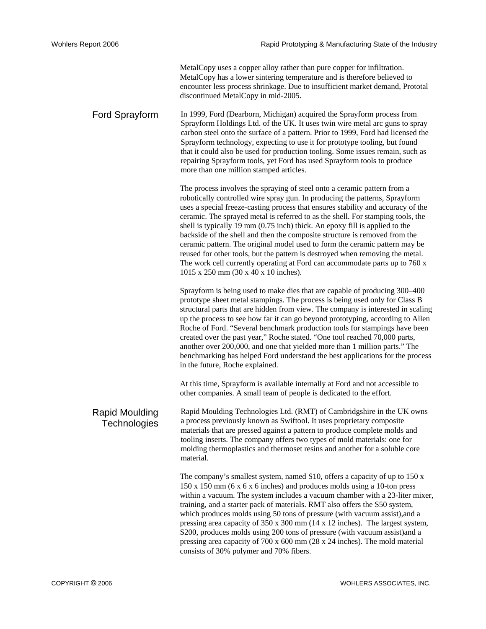MetalCopy uses a copper alloy rather than pure copper for infiltration. MetalCopy has a lower sintering temperature and is therefore believed to encounter less process shrinkage. Due to insufficient market demand, Prototal discontinued MetalCopy in mid-2005.

Ford Sprayform In 1999, Ford (Dearborn, Michigan) acquired the Sprayform process from Sprayform Holdings Ltd. of the UK. It uses twin wire metal arc guns to spray carbon steel onto the surface of a pattern. Prior to 1999, Ford had licensed the Sprayform technology, expecting to use it for prototype tooling, but found that it could also be used for production tooling. Some issues remain, such as repairing Sprayform tools, yet Ford has used Sprayform tools to produce more than one million stamped articles.

> The process involves the spraying of steel onto a ceramic pattern from a robotically controlled wire spray gun. In producing the patterns, Sprayform uses a special freeze-casting process that ensures stability and accuracy of the ceramic. The sprayed metal is referred to as the shell. For stamping tools, the shell is typically 19 mm (0.75 inch) thick. An epoxy fill is applied to the backside of the shell and then the composite structure is removed from the ceramic pattern. The original model used to form the ceramic pattern may be reused for other tools, but the pattern is destroyed when removing the metal. The work cell currently operating at Ford can accommodate parts up to 760 x 1015 x 250 mm (30 x 40 x 10 inches).

Sprayform is being used to make dies that are capable of producing 300–400 prototype sheet metal stampings. The process is being used only for Class B structural parts that are hidden from view. The company is interested in scaling up the process to see how far it can go beyond prototyping, according to Allen Roche of Ford. "Several benchmark production tools for stampings have been created over the past year," Roche stated. "One tool reached 70,000 parts, another over 200,000, and one that yielded more than 1 million parts." The benchmarking has helped Ford understand the best applications for the process in the future, Roche explained.

At this time, Sprayform is available internally at Ford and not accessible to other companies. A small team of people is dedicated to the effort.

Rapid Moulding **Technologies** Rapid Moulding Technologies Ltd. (RMT) of Cambridgshire in the UK owns a process previously known as Swiftool. It uses proprietary composite materials that are pressed against a pattern to produce complete molds and tooling inserts. The company offers two types of mold materials: one for molding thermoplastics and thermoset resins and another for a soluble core material.

> The company's smallest system, named S10, offers a capacity of up to 150 x 150 x 150 mm (6 x 6 x 6 inches) and produces molds using a 10-ton press within a vacuum. The system includes a vacuum chamber with a 23-liter mixer, training, and a starter pack of materials. RMT also offers the S50 system, which produces molds using 50 tons of pressure (with vacuum assist),and a pressing area capacity of 350 x 300 mm (14 x 12 inches). The largest system, S200, produces molds using 200 tons of pressure (with vacuum assist)and a pressing area capacity of 700 x 600 mm (28 x 24 inches). The mold material consists of 30% polymer and 70% fibers.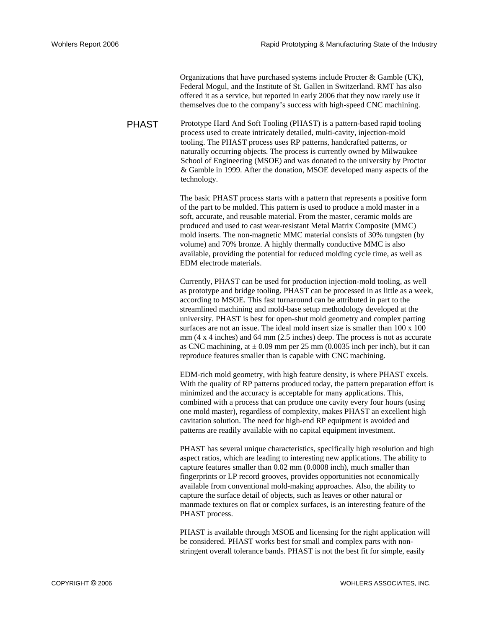Organizations that have purchased systems include Procter & Gamble (UK), Federal Mogul, and the Institute of St. Gallen in Switzerland. RMT has also offered it as a service, but reported in early 2006 that they now rarely use it themselves due to the company's success with high-speed CNC machining.

PHAST Prototype Hard And Soft Tooling (PHAST) is a pattern-based rapid tooling process used to create intricately detailed, multi-cavity, injection-mold tooling. The PHAST process uses RP patterns, handcrafted patterns, or naturally occurring objects. The process is currently owned by Milwaukee School of Engineering (MSOE) and was donated to the university by Proctor & Gamble in 1999. After the donation, MSOE developed many aspects of the technology.

> The basic PHAST process starts with a pattern that represents a positive form of the part to be molded. This pattern is used to produce a mold master in a soft, accurate, and reusable material. From the master, ceramic molds are produced and used to cast wear-resistant Metal Matrix Composite (MMC) mold inserts. The non-magnetic MMC material consists of 30% tungsten (by volume) and 70% bronze. A highly thermally conductive MMC is also available, providing the potential for reduced molding cycle time, as well as EDM electrode materials.

Currently, PHAST can be used for production injection-mold tooling, as well as prototype and bridge tooling. PHAST can be processed in as little as a week, according to MSOE. This fast turnaround can be attributed in part to the streamlined machining and mold-base setup methodology developed at the university. PHAST is best for open-shut mold geometry and complex parting surfaces are not an issue. The ideal mold insert size is smaller than 100 x 100 mm (4 x 4 inches) and 64 mm (2.5 inches) deep. The process is not as accurate as CNC machining, at  $\pm$  0.09 mm per 25 mm (0.0035 inch per inch), but it can reproduce features smaller than is capable with CNC machining.

EDM-rich mold geometry, with high feature density, is where PHAST excels. With the quality of RP patterns produced today, the pattern preparation effort is minimized and the accuracy is acceptable for many applications. This, combined with a process that can produce one cavity every four hours (using one mold master), regardless of complexity, makes PHAST an excellent high cavitation solution. The need for high-end RP equipment is avoided and patterns are readily available with no capital equipment investment.

PHAST has several unique characteristics, specifically high resolution and high aspect ratios, which are leading to interesting new applications. The ability to capture features smaller than 0.02 mm (0.0008 inch), much smaller than fingerprints or LP record grooves, provides opportunities not economically available from conventional mold-making approaches. Also, the ability to capture the surface detail of objects, such as leaves or other natural or manmade textures on flat or complex surfaces, is an interesting feature of the PHAST process.

PHAST is available through MSOE and licensing for the right application will be considered. PHAST works best for small and complex parts with nonstringent overall tolerance bands. PHAST is not the best fit for simple, easily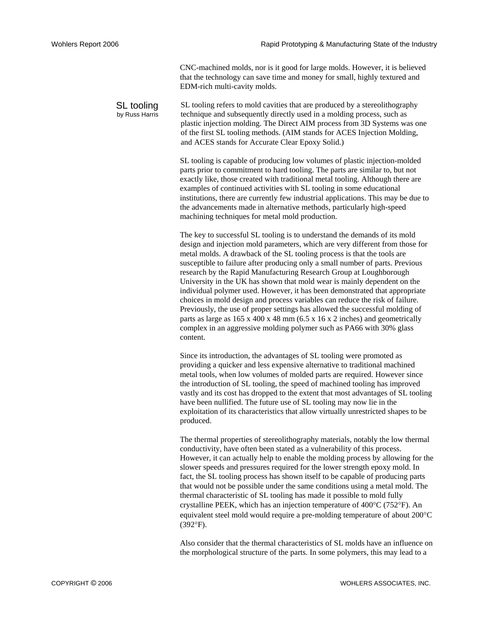CNC-machined molds, nor is it good for large molds. However, it is believed that the technology can save time and money for small, highly textured and EDM-rich multi-cavity molds.

SL tooling by Russ Harris SL tooling refers to mold cavities that are produced by a stereolithography technique and subsequently directly used in a molding process, such as plastic injection molding. The Direct AIM process from 3D Systems was one of the first SL tooling methods. (AIM stands for ACES Injection Molding, and ACES stands for Accurate Clear Epoxy Solid.)

> SL tooling is capable of producing low volumes of plastic injection-molded parts prior to commitment to hard tooling. The parts are similar to, but not exactly like, those created with traditional metal tooling. Although there are examples of continued activities with SL tooling in some educational institutions, there are currently few industrial applications. This may be due to the advancements made in alternative methods, particularly high-speed machining techniques for metal mold production.

> The key to successful SL tooling is to understand the demands of its mold design and injection mold parameters, which are very different from those for metal molds. A drawback of the SL tooling process is that the tools are susceptible to failure after producing only a small number of parts. Previous research by the Rapid Manufacturing Research Group at Loughborough University in the UK has shown that mold wear is mainly dependent on the individual polymer used. However, it has been demonstrated that appropriate choices in mold design and process variables can reduce the risk of failure. Previously, the use of proper settings has allowed the successful molding of parts as large as 165 x 400 x 48 mm (6.5 x 16 x 2 inches) and geometrically complex in an aggressive molding polymer such as PA66 with 30% glass content.

Since its introduction, the advantages of SL tooling were promoted as providing a quicker and less expensive alternative to traditional machined metal tools, when low volumes of molded parts are required. However since the introduction of SL tooling, the speed of machined tooling has improved vastly and its cost has dropped to the extent that most advantages of SL tooling have been nullified. The future use of SL tooling may now lie in the exploitation of its characteristics that allow virtually unrestricted shapes to be produced.

The thermal properties of stereolithography materials, notably the low thermal conductivity, have often been stated as a vulnerability of this process. However, it can actually help to enable the molding process by allowing for the slower speeds and pressures required for the lower strength epoxy mold. In fact, the SL tooling process has shown itself to be capable of producing parts that would not be possible under the same conditions using a metal mold. The thermal characteristic of SL tooling has made it possible to mold fully crystalline PEEK, which has an injection temperature of  $400^{\circ}$ C (752 $^{\circ}$ F). An equivalent steel mold would require a pre-molding temperature of about 200°C (392°F).

Also consider that the thermal characteristics of SL molds have an influence on the morphological structure of the parts. In some polymers, this may lead to a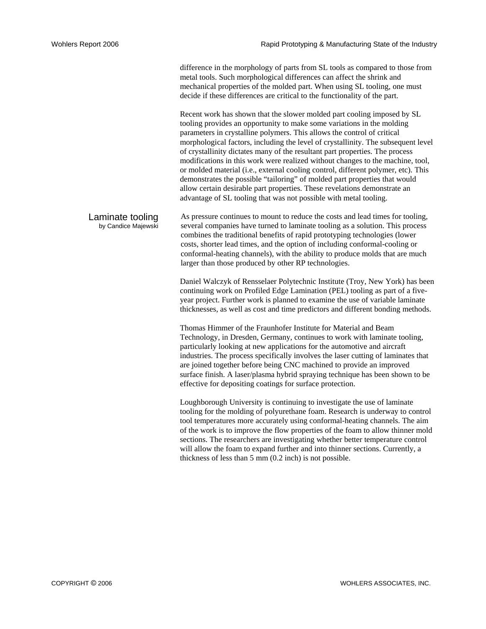difference in the morphology of parts from SL tools as compared to those from metal tools. Such morphological differences can affect the shrink and mechanical properties of the molded part. When using SL tooling, one must decide if these differences are critical to the functionality of the part.

Recent work has shown that the slower molded part cooling imposed by SL tooling provides an opportunity to make some variations in the molding parameters in crystalline polymers. This allows the control of critical morphological factors, including the level of crystallinity. The subsequent level of crystallinity dictates many of the resultant part properties. The process modifications in this work were realized without changes to the machine, tool, or molded material (i.e., external cooling control, different polymer, etc). This demonstrates the possible "tailoring" of molded part properties that would allow certain desirable part properties. These revelations demonstrate an advantage of SL tooling that was not possible with metal tooling.

Laminate tooling by Candice Majewski As pressure continues to mount to reduce the costs and lead times for tooling, several companies have turned to laminate tooling as a solution. This process combines the traditional benefits of rapid prototyping technologies (lower costs, shorter lead times, and the option of including conformal-cooling or conformal-heating channels), with the ability to produce molds that are much larger than those produced by other RP technologies.

> Daniel Walczyk of Rensselaer Polytechnic Institute (Troy, New York) has been continuing work on Profiled Edge Lamination (PEL) tooling as part of a fiveyear project. Further work is planned to examine the use of variable laminate thicknesses, as well as cost and time predictors and different bonding methods.

Thomas Himmer of the Fraunhofer Institute for Material and Beam Technology, in Dresden, Germany, continues to work with laminate tooling, particularly looking at new applications for the automotive and aircraft industries. The process specifically involves the laser cutting of laminates that are joined together before being CNC machined to provide an improved surface finish. A laser/plasma hybrid spraying technique has been shown to be effective for depositing coatings for surface protection.

Loughborough University is continuing to investigate the use of laminate tooling for the molding of polyurethane foam. Research is underway to control tool temperatures more accurately using conformal-heating channels. The aim of the work is to improve the flow properties of the foam to allow thinner mold sections. The researchers are investigating whether better temperature control will allow the foam to expand further and into thinner sections. Currently, a thickness of less than 5 mm (0.2 inch) is not possible.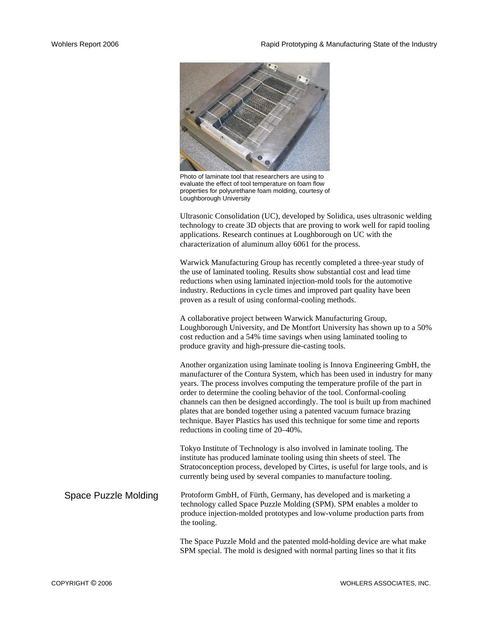

Photo of laminate tool that researchers are using to evaluate the effect of tool temperature on foam flow properties for polyurethane foam molding, courtesy of Loughborough University

Ultrasonic Consolidation (UC), developed by Solidica, uses ultrasonic welding technology to create 3D objects that are proving to work well for rapid tooling applications. Research continues at Loughborough on UC with the characterization of aluminum alloy 6061 for the process.

Warwick Manufacturing Group has recently completed a three-year study of the use of laminated tooling. Results show substantial cost and lead time reductions when using laminated injection-mold tools for the automotive industry. Reductions in cycle times and improved part quality have been proven as a result of using conformal-cooling methods.

A collaborative project between Warwick Manufacturing Group, Loughborough University, and De Montfort University has shown up to a 50% cost reduction and a 54% time savings when using laminated tooling to produce gravity and high-pressure die-casting tools.

Another organization using laminate tooling is Innova Engineering GmbH, the manufacturer of the Contura System, which has been used in industry for many years. The process involves computing the temperature profile of the part in order to determine the cooling behavior of the tool. Conformal-cooling channels can then be designed accordingly. The tool is built up from machined plates that are bonded together using a patented vacuum furnace brazing technique. Bayer Plastics has used this technique for some time and reports reductions in cooling time of 20–40%.

Tokyo Institute of Technology is also involved in laminate tooling. The institute has produced laminate tooling using thin sheets of steel. The Stratoconception process, developed by Cirtes, is useful for large tools, and is currently being used by several companies to manufacture tooling.

Space Puzzle Molding Protoform GmbH, of Fürth, Germany, has developed and is marketing a technology called Space Puzzle Molding (SPM). SPM enables a molder to produce injection-molded prototypes and low-volume production parts from the tooling.

> The Space Puzzle Mold and the patented mold-holding device are what make SPM special. The mold is designed with normal parting lines so that it fits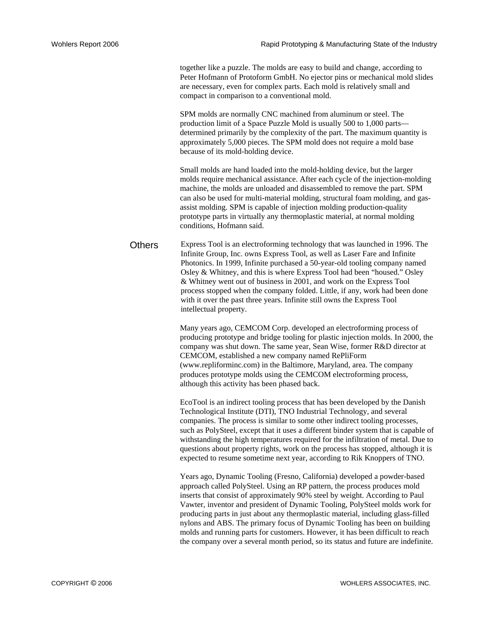together like a puzzle. The molds are easy to build and change, according to Peter Hofmann of Protoform GmbH. No ejector pins or mechanical mold slides are necessary, even for complex parts. Each mold is relatively small and compact in comparison to a conventional mold.

SPM molds are normally CNC machined from aluminum or steel. The production limit of a Space Puzzle Mold is usually 500 to 1,000 parts determined primarily by the complexity of the part. The maximum quantity is approximately 5,000 pieces. The SPM mold does not require a mold base because of its mold-holding device.

Small molds are hand loaded into the mold-holding device, but the larger molds require mechanical assistance. After each cycle of the injection-molding machine, the molds are unloaded and disassembled to remove the part. SPM can also be used for multi-material molding, structural foam molding, and gasassist molding. SPM is capable of injection molding production-quality prototype parts in virtually any thermoplastic material, at normal molding conditions, Hofmann said.

Others Express Tool is an electroforming technology that was launched in 1996. The Infinite Group, Inc. owns Express Tool, as well as Laser Fare and Infinite Photonics. In 1999, Infinite purchased a 50-year-old tooling company named Osley & Whitney, and this is where Express Tool had been "housed." Osley & Whitney went out of business in 2001, and work on the Express Tool process stopped when the company folded. Little, if any, work had been done with it over the past three years. Infinite still owns the Express Tool intellectual property.

> Many years ago, CEMCOM Corp. developed an electroforming process of producing prototype and bridge tooling for plastic injection molds. In 2000, the company was shut down. The same year, Sean Wise, former R&D director at CEMCOM, established a new company named RePliForm (www.repliforminc.com) in the Baltimore, Maryland, area. The company produces prototype molds using the CEMCOM electroforming process, although this activity has been phased back.

> EcoTool is an indirect tooling process that has been developed by the Danish Technological Institute (DTI), TNO Industrial Technology, and several companies. The process is similar to some other indirect tooling processes, such as PolySteel, except that it uses a different binder system that is capable of withstanding the high temperatures required for the infiltration of metal. Due to questions about property rights, work on the process has stopped, although it is expected to resume sometime next year, according to Rik Knoppers of TNO.

> Years ago, Dynamic Tooling (Fresno, California) developed a powder-based approach called PolySteel. Using an RP pattern, the process produces mold inserts that consist of approximately 90% steel by weight. According to Paul Vawter, inventor and president of Dynamic Tooling, PolySteel molds work for producing parts in just about any thermoplastic material, including glass-filled nylons and ABS. The primary focus of Dynamic Tooling has been on building molds and running parts for customers. However, it has been difficult to reach the company over a several month period, so its status and future are indefinite.